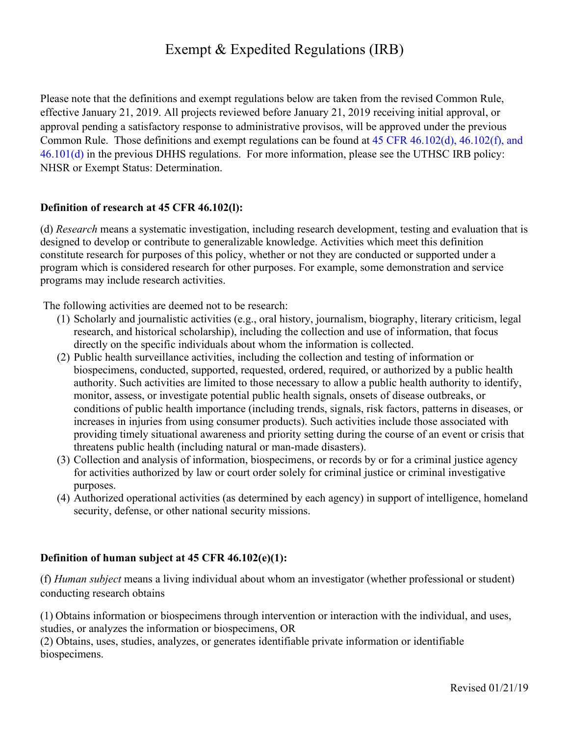# Exempt & Expedited Regulations (IRB)

Please note that the definitions and exempt regulations below are taken from the revised Common Rule, effective January 21, 2019. All projects reviewed before January 21, 2019 receiving initial approval, or approval pending a satisfactory response to administrative provisos, will be approved under the previous Common Rule. Those definitions and exempt regulations can be found at 45 CFR 46.102(d), 46.102(f), and 46.101(d) in the previous DHHS regulations. For more information, please see the UTHSC IRB policy: NHSR or Exempt Status: Determination.

#### **Definition of research at 45 CFR 46.102(l):**

(d) *Research* means a systematic investigation, including research development, testing and evaluation that is designed to develop or contribute to generalizable knowledge. Activities which meet this definition constitute research for purposes of this policy, whether or not they are conducted or supported under a program which is considered research for other purposes. For example, some demonstration and service programs may include research activities.

The following activities are deemed not to be research:

- (1) Scholarly and journalistic activities (e.g., oral history, journalism, biography, literary criticism, legal research, and historical scholarship), including the collection and use of information, that focus directly on the specific individuals about whom the information is collected.
- (2) Public health surveillance activities, including the collection and testing of information or biospecimens, conducted, supported, requested, ordered, required, or authorized by a public health authority. Such activities are limited to those necessary to allow a public health authority to identify, monitor, assess, or investigate potential public health signals, onsets of disease outbreaks, or conditions of public health importance (including trends, signals, risk factors, patterns in diseases, or increases in injuries from using consumer products). Such activities include those associated with providing timely situational awareness and priority setting during the course of an event or crisis that threatens public health (including natural or man-made disasters).
- (3) Collection and analysis of information, biospecimens, or records by or for a criminal justice agency for activities authorized by law or court order solely for criminal justice or criminal investigative purposes.
- (4) Authorized operational activities (as determined by each agency) in support of intelligence, homeland security, defense, or other national security missions.

#### **Definition of human subject at 45 CFR 46.102(e)(1):**

(f) *Human subject* means a living individual about whom an investigator (whether professional or student) conducting research obtains

(1) Obtains information or biospecimens through intervention or interaction with the individual, and uses, studies, or analyzes the information or biospecimens, OR

(2) Obtains, uses, studies, analyzes, or generates identifiable private information or identifiable biospecimens.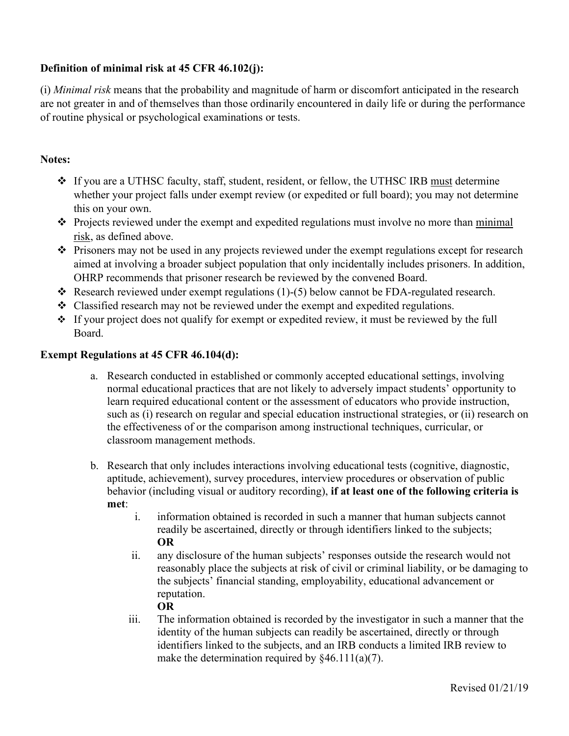## **Definition of minimal risk at 45 CFR 46.102(j):**

(i) *Minimal risk* means that the probability and magnitude of harm or discomfort anticipated in the research are not greater in and of themselves than those ordinarily encountered in daily life or during the performance of routine physical or psychological examinations or tests.

## **Notes:**

- v If you are a UTHSC faculty, staff, student, resident, or fellow, the UTHSC IRB must determine whether your project falls under exempt review (or expedited or full board); you may not determine this on your own.
- $\triangle$  Projects reviewed under the exempt and expedited regulations must involve no more than minimal risk, as defined above.
- \* Prisoners may not be used in any projects reviewed under the exempt regulations except for research aimed at involving a broader subject population that only incidentally includes prisoners. In addition, OHRP recommends that prisoner research be reviewed by the convened Board.
- $\triangleleft$  Research reviewed under exempt regulations (1)-(5) below cannot be FDA-regulated research.
- $\triangleleft$  Classified research may not be reviewed under the exempt and expedited regulations.
- $\cdot$  If your project does not qualify for exempt or expedited review, it must be reviewed by the full Board.

### **Exempt Regulations at 45 CFR 46.104(d):**

- a. Research conducted in established or commonly accepted educational settings, involving normal educational practices that are not likely to adversely impact students' opportunity to learn required educational content or the assessment of educators who provide instruction, such as (i) research on regular and special education instructional strategies, or (ii) research on the effectiveness of or the comparison among instructional techniques, curricular, or classroom management methods.
- b. Research that only includes interactions involving educational tests (cognitive, diagnostic, aptitude, achievement), survey procedures, interview procedures or observation of public behavior (including visual or auditory recording), **if at least one of the following criteria is met**:
	- i. information obtained is recorded in such a manner that human subjects cannot readily be ascertained, directly or through identifiers linked to the subjects; **OR**
	- ii. any disclosure of the human subjects' responses outside the research would not reasonably place the subjects at risk of civil or criminal liability, or be damaging to the subjects' financial standing, employability, educational advancement or reputation.

### **OR**

iii. The information obtained is recorded by the investigator in such a manner that the identity of the human subjects can readily be ascertained, directly or through identifiers linked to the subjects, and an IRB conducts a limited IRB review to make the determination required by  $§46.111(a)(7)$ .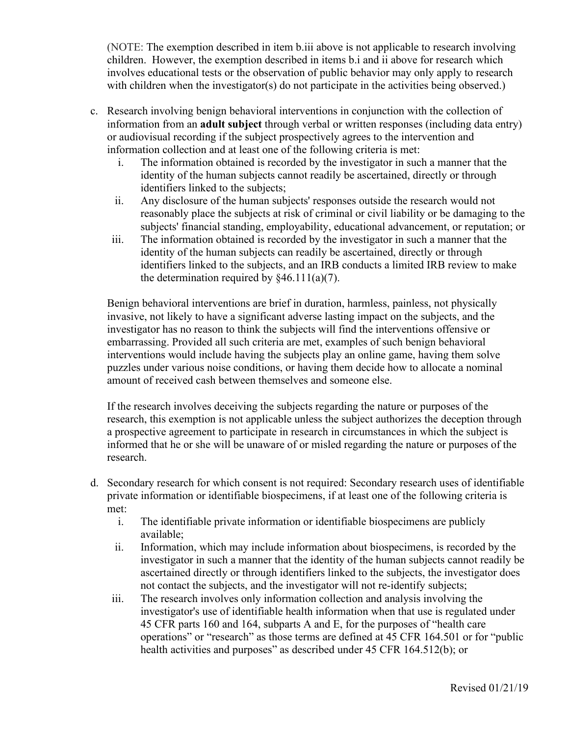(NOTE: The exemption described in item b.iii above is not applicable to research involving children. However, the exemption described in items b.i and ii above for research which involves educational tests or the observation of public behavior may only apply to research with children when the investigator(s) do not participate in the activities being observed.)

- c. Research involving benign behavioral interventions in conjunction with the collection of information from an **adult subject** through verbal or written responses (including data entry) or audiovisual recording if the subject prospectively agrees to the intervention and information collection and at least one of the following criteria is met:
	- i. The information obtained is recorded by the investigator in such a manner that the identity of the human subjects cannot readily be ascertained, directly or through identifiers linked to the subjects;
	- ii. Any disclosure of the human subjects' responses outside the research would not reasonably place the subjects at risk of criminal or civil liability or be damaging to the subjects' financial standing, employability, educational advancement, or reputation; or
	- iii. The information obtained is recorded by the investigator in such a manner that the identity of the human subjects can readily be ascertained, directly or through identifiers linked to the subjects, and an IRB conducts a limited IRB review to make the determination required by  $§46.111(a)(7)$ .

Benign behavioral interventions are brief in duration, harmless, painless, not physically invasive, not likely to have a significant adverse lasting impact on the subjects, and the investigator has no reason to think the subjects will find the interventions offensive or embarrassing. Provided all such criteria are met, examples of such benign behavioral interventions would include having the subjects play an online game, having them solve puzzles under various noise conditions, or having them decide how to allocate a nominal amount of received cash between themselves and someone else.

If the research involves deceiving the subjects regarding the nature or purposes of the research, this exemption is not applicable unless the subject authorizes the deception through a prospective agreement to participate in research in circumstances in which the subject is informed that he or she will be unaware of or misled regarding the nature or purposes of the research.

- d. Secondary research for which consent is not required: Secondary research uses of identifiable private information or identifiable biospecimens, if at least one of the following criteria is met:
	- i. The identifiable private information or identifiable biospecimens are publicly available;
	- ii. Information, which may include information about biospecimens, is recorded by the investigator in such a manner that the identity of the human subjects cannot readily be ascertained directly or through identifiers linked to the subjects, the investigator does not contact the subjects, and the investigator will not re-identify subjects;
	- iii. The research involves only information collection and analysis involving the investigator's use of identifiable health information when that use is regulated under 45 CFR parts 160 and 164, subparts A and E, for the purposes of "health care operations" or "research" as those terms are defined at 45 CFR 164.501 or for "public health activities and purposes" as described under 45 CFR 164.512(b); or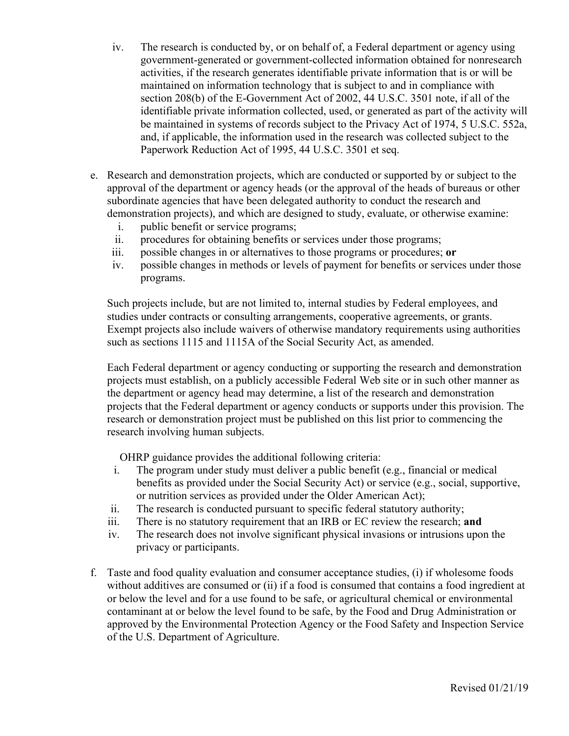- iv. The research is conducted by, or on behalf of, a Federal department or agency using government-generated or government-collected information obtained for nonresearch activities, if the research generates identifiable private information that is or will be maintained on information technology that is subject to and in compliance with section 208(b) of the E-Government Act of 2002, 44 U.S.C. 3501 note, if all of the identifiable private information collected, used, or generated as part of the activity will be maintained in systems of records subject to the Privacy Act of 1974, 5 U.S.C. 552a, and, if applicable, the information used in the research was collected subject to the Paperwork Reduction Act of 1995, 44 U.S.C. 3501 et seq.
- e. Research and demonstration projects, which are conducted or supported by or subject to the approval of the department or agency heads (or the approval of the heads of bureaus or other subordinate agencies that have been delegated authority to conduct the research and demonstration projects), and which are designed to study, evaluate, or otherwise examine:
	- i. public benefit or service programs;
	- ii. procedures for obtaining benefits or services under those programs;
	- iii. possible changes in or alternatives to those programs or procedures; **or**
	- iv. possible changes in methods or levels of payment for benefits or services under those programs.

Such projects include, but are not limited to, internal studies by Federal employees, and studies under contracts or consulting arrangements, cooperative agreements, or grants. Exempt projects also include waivers of otherwise mandatory requirements using authorities such as sections 1115 and 1115A of the Social Security Act, as amended.

Each Federal department or agency conducting or supporting the research and demonstration projects must establish, on a publicly accessible Federal Web site or in such other manner as the department or agency head may determine, a list of the research and demonstration projects that the Federal department or agency conducts or supports under this provision. The research or demonstration project must be published on this list prior to commencing the research involving human subjects.

OHRP guidance provides the additional following criteria:

- i. The program under study must deliver a public benefit (e.g., financial or medical benefits as provided under the Social Security Act) or service (e.g., social, supportive, or nutrition services as provided under the Older American Act);
- ii. The research is conducted pursuant to specific federal statutory authority;
- iii. There is no statutory requirement that an IRB or EC review the research; **and**
- iv. The research does not involve significant physical invasions or intrusions upon the privacy or participants.
- f. Taste and food quality evaluation and consumer acceptance studies, (i) if wholesome foods without additives are consumed or (ii) if a food is consumed that contains a food ingredient at or below the level and for a use found to be safe, or agricultural chemical or environmental contaminant at or below the level found to be safe, by the Food and Drug Administration or approved by the Environmental Protection Agency or the Food Safety and Inspection Service of the U.S. Department of Agriculture.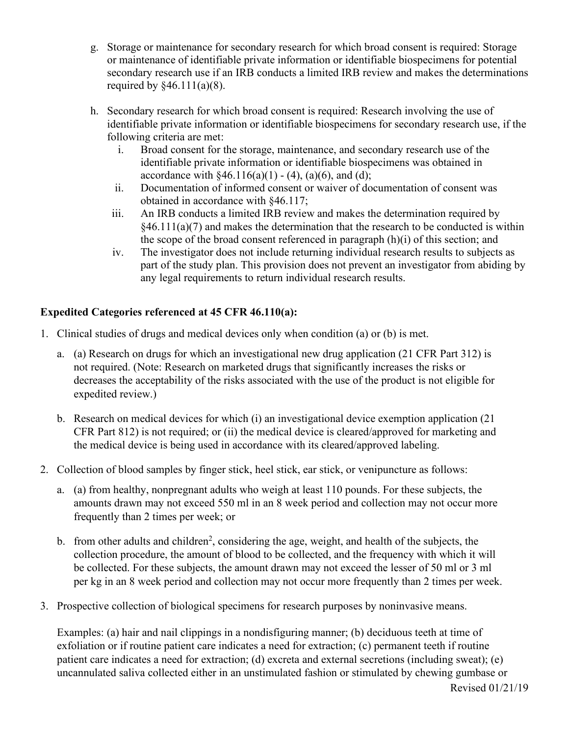- g. Storage or maintenance for secondary research for which broad consent is required: Storage or maintenance of identifiable private information or identifiable biospecimens for potential secondary research use if an IRB conducts a limited IRB review and makes the determinations required by  $§46.111(a)(8)$ .
- h. Secondary research for which broad consent is required: Research involving the use of identifiable private information or identifiable biospecimens for secondary research use, if the following criteria are met:
	- i. Broad consent for the storage, maintenance, and secondary research use of the identifiable private information or identifiable biospecimens was obtained in accordance with  $§46.116(a)(1) - (4)$ , (a)(6), and (d);
	- ii. Documentation of informed consent or waiver of documentation of consent was obtained in accordance with §46.117;
	- iii. An IRB conducts a limited IRB review and makes the determination required by  $\frac{1}{2}(46.111(a)(7))$  and makes the determination that the research to be conducted is within the scope of the broad consent referenced in paragraph  $(h)(i)$  of this section; and
	- iv. The investigator does not include returning individual research results to subjects as part of the study plan. This provision does not prevent an investigator from abiding by any legal requirements to return individual research results.

## **Expedited Categories referenced at 45 CFR 46.110(a):**

- 1. Clinical studies of drugs and medical devices only when condition (a) or (b) is met.
	- a. (a) Research on drugs for which an investigational new drug application (21 CFR Part 312) is not required. (Note: Research on marketed drugs that significantly increases the risks or decreases the acceptability of the risks associated with the use of the product is not eligible for expedited review.)
	- b. Research on medical devices for which (i) an investigational device exemption application (21 CFR Part 812) is not required; or (ii) the medical device is cleared/approved for marketing and the medical device is being used in accordance with its cleared/approved labeling.
- 2. Collection of blood samples by finger stick, heel stick, ear stick, or venipuncture as follows:
	- a. (a) from healthy, nonpregnant adults who weigh at least 110 pounds. For these subjects, the amounts drawn may not exceed 550 ml in an 8 week period and collection may not occur more frequently than 2 times per week; or
	- b. from other adults and children<sup>2</sup>, considering the age, weight, and health of the subjects, the collection procedure, the amount of blood to be collected, and the frequency with which it will be collected. For these subjects, the amount drawn may not exceed the lesser of 50 ml or 3 ml per kg in an 8 week period and collection may not occur more frequently than 2 times per week.
- 3. Prospective collection of biological specimens for research purposes by noninvasive means.

Examples: (a) hair and nail clippings in a nondisfiguring manner; (b) deciduous teeth at time of exfoliation or if routine patient care indicates a need for extraction; (c) permanent teeth if routine patient care indicates a need for extraction; (d) excreta and external secretions (including sweat); (e) uncannulated saliva collected either in an unstimulated fashion or stimulated by chewing gumbase or